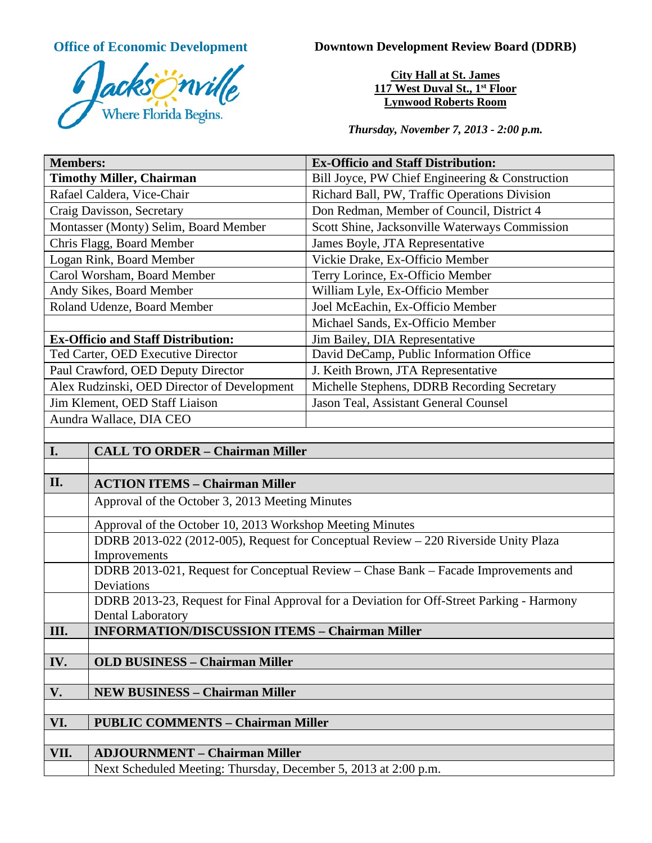

**Office of Economic Development Downtown Development Review Board (DDRB)** 

**City Hall at St. James 117 West Duval St., 1st Floor Lynwood Roberts Room**

*Thursday, November 7, 2013 - 2:00 p.m.*

| <b>Members:</b>                                                                     | <b>Ex-Officio and Staff Distribution:</b>       |
|-------------------------------------------------------------------------------------|-------------------------------------------------|
| <b>Timothy Miller, Chairman</b>                                                     | Bill Joyce, PW Chief Engineering & Construction |
| Rafael Caldera, Vice-Chair                                                          | Richard Ball, PW, Traffic Operations Division   |
| Craig Davisson, Secretary                                                           | Don Redman, Member of Council, District 4       |
| Montasser (Monty) Selim, Board Member                                               | Scott Shine, Jacksonville Waterways Commission  |
| Chris Flagg, Board Member                                                           | James Boyle, JTA Representative                 |
| Logan Rink, Board Member                                                            | Vickie Drake, Ex-Officio Member                 |
| Carol Worsham, Board Member                                                         | Terry Lorince, Ex-Officio Member                |
| Andy Sikes, Board Member                                                            | William Lyle, Ex-Officio Member                 |
| Roland Udenze, Board Member                                                         | Joel McEachin, Ex-Officio Member                |
|                                                                                     | Michael Sands, Ex-Officio Member                |
| <b>Ex-Officio and Staff Distribution:</b>                                           | Jim Bailey, DIA Representative                  |
| Ted Carter, OED Executive Director                                                  | David DeCamp, Public Information Office         |
| Paul Crawford, OED Deputy Director                                                  | J. Keith Brown, JTA Representative              |
| Alex Rudzinski, OED Director of Development                                         | Michelle Stephens, DDRB Recording Secretary     |
| Jim Klement, OED Staff Liaison                                                      | Jason Teal, Assistant General Counsel           |
| Aundra Wallace, DIA CEO                                                             |                                                 |
|                                                                                     |                                                 |
| I.<br><b>CALL TO ORDER - Chairman Miller</b>                                        |                                                 |
|                                                                                     |                                                 |
| II.<br><b>ACTION ITEMS - Chairman Miller</b>                                        |                                                 |
| Approval of the October 3, 2013 Meeting Minutes                                     |                                                 |
| Approval of the October 10, 2013 Workshop Meeting Minutes                           |                                                 |
| DDRB 2013-022 (2012-005), Request for Conceptual Review - 220 Riverside Unity Plaza |                                                 |
| Improvements                                                                        |                                                 |

DDRB 2013-021, Request for Conceptual Review – Chase Bank – Facade Improvements and Deviations

DDRB 2013-23, Request for Final Approval for a Deviation for Off-Street Parking - Harmony Dental Laboratory

**III. INFORMATION/DISCUSSION ITEMS – Chairman Miller**

**IV. OLD BUSINESS – Chairman Miller**

**V. NEW BUSINESS – Chairman Miller**

**VI. PUBLIC COMMENTS – Chairman Miller**

**VII. ADJOURNMENT – Chairman Miller**

Next Scheduled Meeting: Thursday, December 5, 2013 at 2:00 p.m.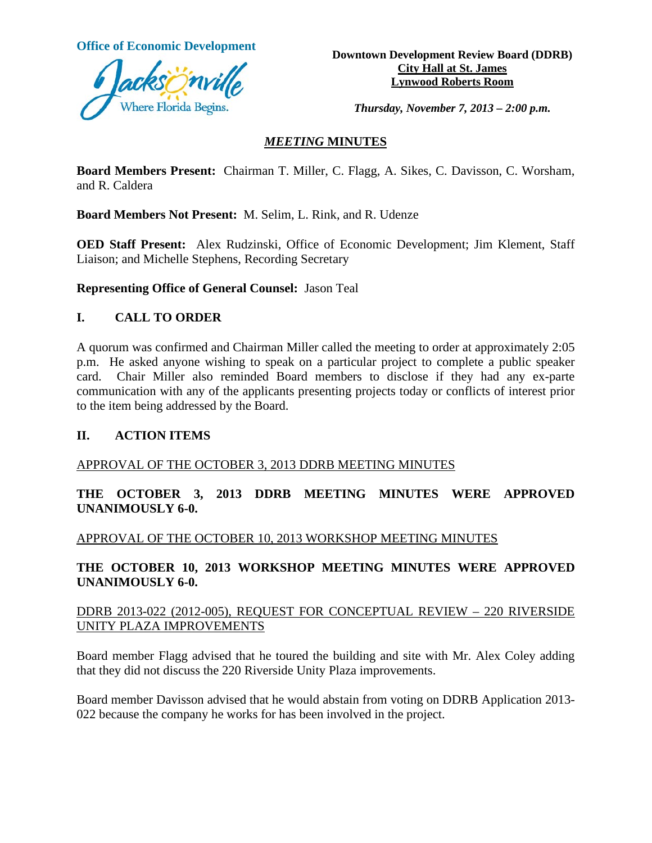

**Office of Economic Development**<br> **Downtown Development Review Board (DDRB) City Hall at St. James Lynwood Roberts Room**

*Thursday, November 7, 2013 – 2:00 p.m.*

## *MEETING* **MINUTES**

**Board Members Present:** Chairman T. Miller, C. Flagg, A. Sikes, C. Davisson, C. Worsham, and R. Caldera

**Board Members Not Present:** M. Selim, L. Rink, and R. Udenze

**OED Staff Present:** Alex Rudzinski, Office of Economic Development; Jim Klement, Staff Liaison; and Michelle Stephens, Recording Secretary

**Representing Office of General Counsel:** Jason Teal

## **I. CALL TO ORDER**

A quorum was confirmed and Chairman Miller called the meeting to order at approximately 2:05 p.m. He asked anyone wishing to speak on a particular project to complete a public speaker card. Chair Miller also reminded Board members to disclose if they had any ex-parte communication with any of the applicants presenting projects today or conflicts of interest prior to the item being addressed by the Board.

### **II. ACTION ITEMS**

## APPROVAL OF THE OCTOBER 3, 2013 DDRB MEETING MINUTES

**THE OCTOBER 3, 2013 DDRB MEETING MINUTES WERE APPROVED UNANIMOUSLY 6-0.** 

APPROVAL OF THE OCTOBER 10, 2013 WORKSHOP MEETING MINUTES

**THE OCTOBER 10, 2013 WORKSHOP MEETING MINUTES WERE APPROVED UNANIMOUSLY 6-0.** 

## DDRB 2013-022 (2012-005), REQUEST FOR CONCEPTUAL REVIEW – 220 RIVERSIDE UNITY PLAZA IMPROVEMENTS

Board member Flagg advised that he toured the building and site with Mr. Alex Coley adding that they did not discuss the 220 Riverside Unity Plaza improvements.

Board member Davisson advised that he would abstain from voting on DDRB Application 2013- 022 because the company he works for has been involved in the project.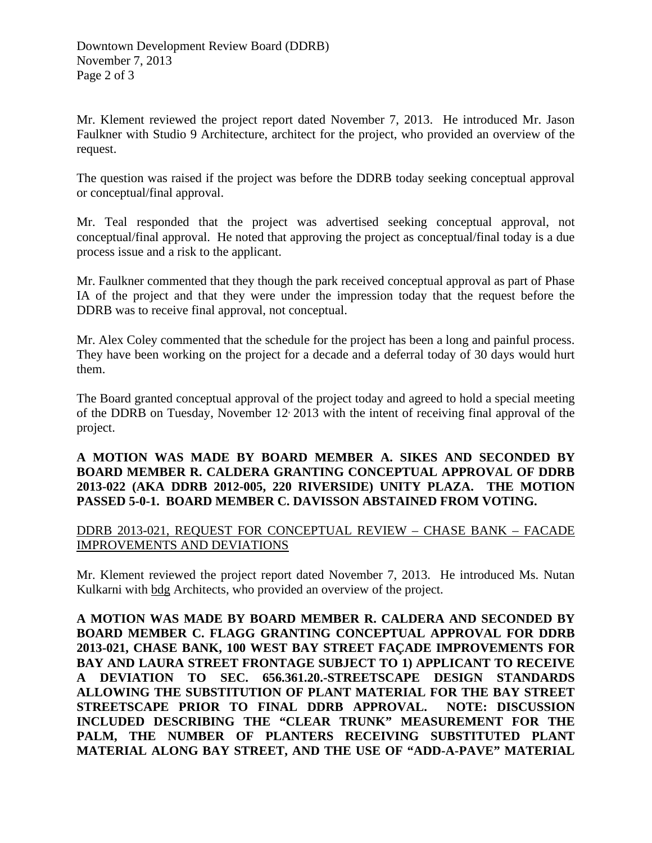Mr. Klement reviewed the project report dated November 7, 2013. He introduced Mr. Jason Faulkner with Studio 9 Architecture, architect for the project, who provided an overview of the request.

The question was raised if the project was before the DDRB today seeking conceptual approval or conceptual/final approval.

Mr. Teal responded that the project was advertised seeking conceptual approval, not conceptual/final approval. He noted that approving the project as conceptual/final today is a due process issue and a risk to the applicant.

Mr. Faulkner commented that they though the park received conceptual approval as part of Phase IA of the project and that they were under the impression today that the request before the DDRB was to receive final approval, not conceptual.

Mr. Alex Coley commented that the schedule for the project has been a long and painful process. They have been working on the project for a decade and a deferral today of 30 days would hurt them.

The Board granted conceptual approval of the project today and agreed to hold a special meeting of the DDRB on Tuesday, November 12, 2013 with the intent of receiving final approval of the project.

## **A MOTION WAS MADE BY BOARD MEMBER A. SIKES AND SECONDED BY BOARD MEMBER R. CALDERA GRANTING CONCEPTUAL APPROVAL OF DDRB 2013-022 (AKA DDRB 2012-005, 220 RIVERSIDE) UNITY PLAZA. THE MOTION PASSED 5-0-1. BOARD MEMBER C. DAVISSON ABSTAINED FROM VOTING.**

# DDRB 2013-021, REQUEST FOR CONCEPTUAL REVIEW – CHASE BANK – FACADE IMPROVEMENTS AND DEVIATIONS

Mr. Klement reviewed the project report dated November 7, 2013. He introduced Ms. Nutan Kulkarni with bdg Architects, who provided an overview of the project.

**A MOTION WAS MADE BY BOARD MEMBER R. CALDERA AND SECONDED BY BOARD MEMBER C. FLAGG GRANTING CONCEPTUAL APPROVAL FOR DDRB 2013-021, CHASE BANK, 100 WEST BAY STREET FAÇADE IMPROVEMENTS FOR BAY AND LAURA STREET FRONTAGE SUBJECT TO 1) APPLICANT TO RECEIVE A DEVIATION TO SEC. 656.361.20.-STREETSCAPE DESIGN STANDARDS ALLOWING THE SUBSTITUTION OF PLANT MATERIAL FOR THE BAY STREET STREETSCAPE PRIOR TO FINAL DDRB APPROVAL. NOTE: DISCUSSION INCLUDED DESCRIBING THE "CLEAR TRUNK" MEASUREMENT FOR THE PALM, THE NUMBER OF PLANTERS RECEIVING SUBSTITUTED PLANT MATERIAL ALONG BAY STREET, AND THE USE OF "ADD-A-PAVE" MATERIAL**